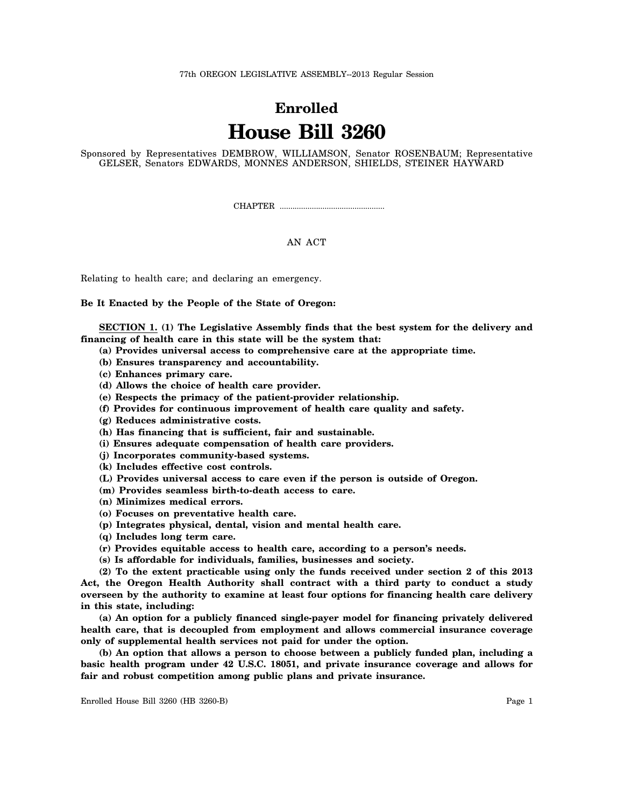77th OREGON LEGISLATIVE ASSEMBLY--2013 Regular Session

## **Enrolled House Bill 3260**

Sponsored by Representatives DEMBROW, WILLIAMSON, Senator ROSENBAUM; Representative GELSER, Senators EDWARDS, MONNES ANDERSON, SHIELDS, STEINER HAYWARD

CHAPTER .................................................

## AN ACT

Relating to health care; and declaring an emergency.

**Be It Enacted by the People of the State of Oregon:**

**SECTION 1. (1) The Legislative Assembly finds that the best system for the delivery and financing of health care in this state will be the system that:**

- **(a) Provides universal access to comprehensive care at the appropriate time.**
- **(b) Ensures transparency and accountability.**
- **(c) Enhances primary care.**
- **(d) Allows the choice of health care provider.**
- **(e) Respects the primacy of the patient-provider relationship.**
- **(f) Provides for continuous improvement of health care quality and safety.**
- **(g) Reduces administrative costs.**
- **(h) Has financing that is sufficient, fair and sustainable.**
- **(i) Ensures adequate compensation of health care providers.**
- **(j) Incorporates community-based systems.**
- **(k) Includes effective cost controls.**
- **(L) Provides universal access to care even if the person is outside of Oregon.**
- **(m) Provides seamless birth-to-death access to care.**
- **(n) Minimizes medical errors.**
- **(o) Focuses on preventative health care.**
- **(p) Integrates physical, dental, vision and mental health care.**
- **(q) Includes long term care.**
- **(r) Provides equitable access to health care, according to a person's needs.**
- **(s) Is affordable for individuals, families, businesses and society.**

**(2) To the extent practicable using only the funds received under section 2 of this 2013 Act, the Oregon Health Authority shall contract with a third party to conduct a study overseen by the authority to examine at least four options for financing health care delivery in this state, including:**

**(a) An option for a publicly financed single-payer model for financing privately delivered health care, that is decoupled from employment and allows commercial insurance coverage only of supplemental health services not paid for under the option.**

**(b) An option that allows a person to choose between a publicly funded plan, including a basic health program under 42 U.S.C. 18051, and private insurance coverage and allows for fair and robust competition among public plans and private insurance.**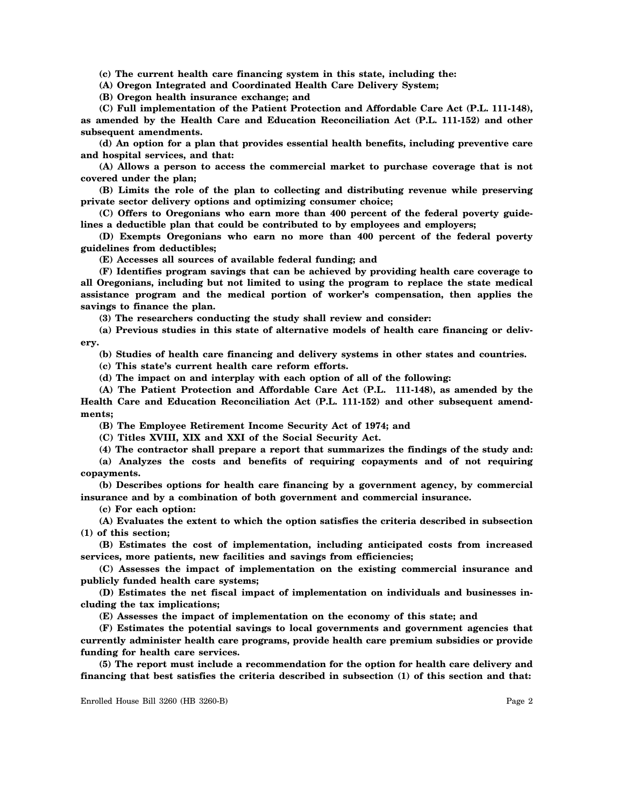**(c) The current health care financing system in this state, including the:**

**(A) Oregon Integrated and Coordinated Health Care Delivery System;**

**(B) Oregon health insurance exchange; and**

**(C) Full implementation of the Patient Protection and Affordable Care Act (P.L. 111-148), as amended by the Health Care and Education Reconciliation Act (P.L. 111-152) and other subsequent amendments.**

**(d) An option for a plan that provides essential health benefits, including preventive care and hospital services, and that:**

**(A) Allows a person to access the commercial market to purchase coverage that is not covered under the plan;**

**(B) Limits the role of the plan to collecting and distributing revenue while preserving private sector delivery options and optimizing consumer choice;**

**(C) Offers to Oregonians who earn more than 400 percent of the federal poverty guidelines a deductible plan that could be contributed to by employees and employers;**

**(D) Exempts Oregonians who earn no more than 400 percent of the federal poverty guidelines from deductibles;**

**(E) Accesses all sources of available federal funding; and**

**(F) Identifies program savings that can be achieved by providing health care coverage to all Oregonians, including but not limited to using the program to replace the state medical assistance program and the medical portion of worker's compensation, then applies the savings to finance the plan.**

**(3) The researchers conducting the study shall review and consider:**

**(a) Previous studies in this state of alternative models of health care financing or delivery.**

**(b) Studies of health care financing and delivery systems in other states and countries.**

**(c) This state's current health care reform efforts.**

**(d) The impact on and interplay with each option of all of the following:**

**(A) The Patient Protection and Affordable Care Act (P.L. 111-148), as amended by the Health Care and Education Reconciliation Act (P.L. 111-152) and other subsequent amendments;**

**(B) The Employee Retirement Income Security Act of 1974; and**

**(C) Titles XVIII, XIX and XXI of the Social Security Act.**

**(4) The contractor shall prepare a report that summarizes the findings of the study and:**

**(a) Analyzes the costs and benefits of requiring copayments and of not requiring copayments.**

**(b) Describes options for health care financing by a government agency, by commercial insurance and by a combination of both government and commercial insurance.**

**(c) For each option:**

**(A) Evaluates the extent to which the option satisfies the criteria described in subsection (1) of this section;**

**(B) Estimates the cost of implementation, including anticipated costs from increased services, more patients, new facilities and savings from efficiencies;**

**(C) Assesses the impact of implementation on the existing commercial insurance and publicly funded health care systems;**

**(D) Estimates the net fiscal impact of implementation on individuals and businesses including the tax implications;**

**(E) Assesses the impact of implementation on the economy of this state; and**

**(F) Estimates the potential savings to local governments and government agencies that currently administer health care programs, provide health care premium subsidies or provide funding for health care services.**

**(5) The report must include a recommendation for the option for health care delivery and financing that best satisfies the criteria described in subsection (1) of this section and that:**